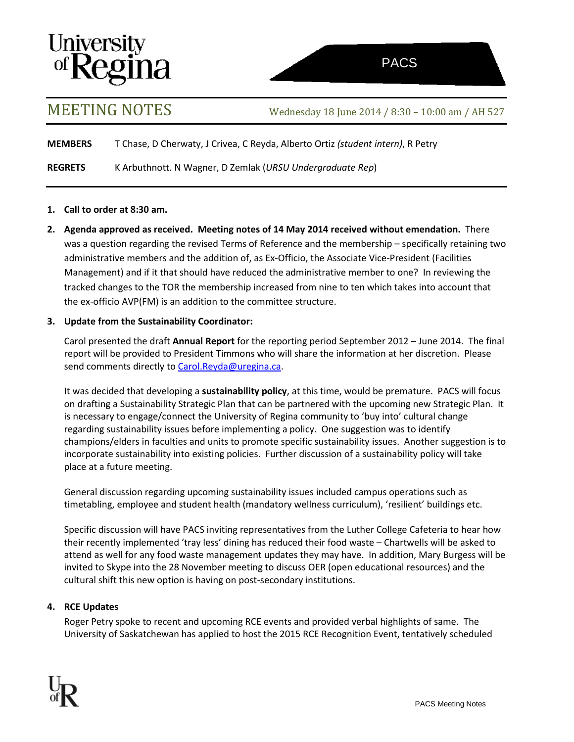# **University<br>of Regina**

MEETING NOTES Wednesday <sup>18</sup> June <sup>2014</sup> / 8:30 – 10:00 am / AH <sup>527</sup>

**MEMBERS** T Chase, D Cherwaty, J Crivea, C Reyda, Alberto Ortiz *(student intern)*, R Petry

**REGRETS** K Arbuthnott. N Wagner, D Zemlak (*URSU Undergraduate Rep*)

### **1. Call to order at 8:30 am.**

**2. Agenda approved as received. Meeting notes of 14 May 2014 received without emendation.** There was a question regarding the revised Terms of Reference and the membership – specifically retaining two administrative members and the addition of, as Ex-Officio, the Associate Vice-President (Facilities Management) and if it that should have reduced the administrative member to one? In reviewing the tracked changes to the TOR the membership increased from nine to ten which takes into account that the ex-officio AVP(FM) is an addition to the committee structure.

### **3. Update from the Sustainability Coordinator:**

Carol presented the draft **Annual Report** for the reporting period September 2012 – June 2014. The final report will be provided to President Timmons who will share the information at her discretion. Please send comments directly to [Carol.Reyda@uregina.ca.](mailto:Carol.Reyda@uregina.ca)

It was decided that developing a **sustainability policy**, at this time, would be premature. PACS will focus on drafting a Sustainability Strategic Plan that can be partnered with the upcoming new Strategic Plan. It is necessary to engage/connect the University of Regina community to 'buy into' cultural change regarding sustainability issues before implementing a policy. One suggestion was to identify champions/elders in faculties and units to promote specific sustainability issues. Another suggestion is to incorporate sustainability into existing policies. Further discussion of a sustainability policy will take place at a future meeting.

General discussion regarding upcoming sustainability issues included campus operations such as timetabling, employee and student health (mandatory wellness curriculum), 'resilient' buildings etc.

Specific discussion will have PACS inviting representatives from the Luther College Cafeteria to hear how their recently implemented 'tray less' dining has reduced their food waste – Chartwells will be asked to attend as well for any food waste management updates they may have. In addition, Mary Burgess will be invited to Skype into the 28 November meeting to discuss OER (open educational resources) and the cultural shift this new option is having on post-secondary institutions.

## **4. RCE Updates**

Roger Petry spoke to recent and upcoming RCE events and provided verbal highlights of same. The University of Saskatchewan has applied to host the 2015 RCE Recognition Event, tentatively scheduled